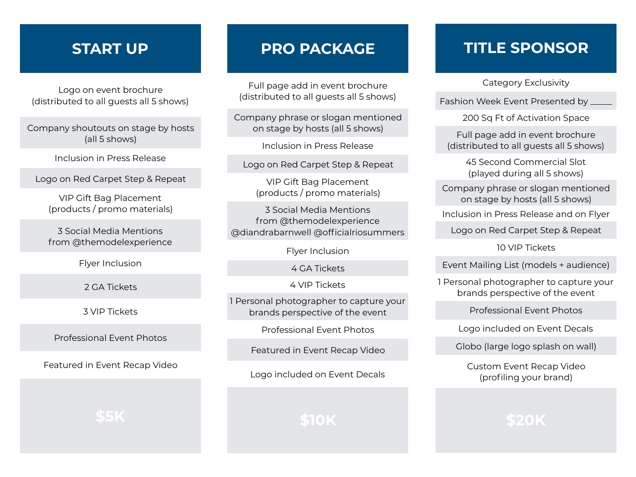## **START UP**

Logo on event brochure (distributed to all guests all 5 shows)

Company shoutouts on stage by hosts (all 5 shows)

Inclusion in Press Release

Logo on Red Carpet Step & Repeat

VIP Gift Bag Placement (products / promo materials)

3 Social Media Mentions from @themodelexperience

Flyer Inclusion

2 GA Tickets

3 VIP Tickets

Professional Event Photos

Featured in Event Recap Video

**\$5K**

## **PRO PACKAGE**

Full page add in event brochure (distributed to all guests all 5 shows)

Company phrase or slogan mentioned on stage by hosts (all 5 shows)

Inclusion in Press Release

Logo on Red Carpet Step & Repeat

VIP Gift Bag Placement (products / promo materials)

3 Social Media Mentions from @themodelexperience @diandrabarnwell @officialriosummers

Flyer Inclusion

4 GA Tickets

4 VIP Tickets

1 Personal photographer to capture your brands perspective of the event

Professional Event Photos

Featured in Event Recap Video

Logo included on Event Decals

**\$10K**

## **TITLE SPONSOR**

Category Exclusivity

Fashion Week Event Presented by

200 Sq Ft of Activation Space

Full page add in event brochure (distributed to all guests all 5 shows)

> 45 Second Commercial Slot (played during all 5 shows)

Company phrase or slogan mentioned on stage by hosts (all 5 shows)

Inclusion in Press Release and on Flyer

Logo on Red Carpet Step & Repeat

10 VIP Tickets

Event Mailing List (models + audience)

1 Personal photographer to capture your brands perspective of the event

Professional Event Photos

Logo included on Event Decals

Globo (large logo splash on wall)

Custom Event Recap Video (profiling your brand)